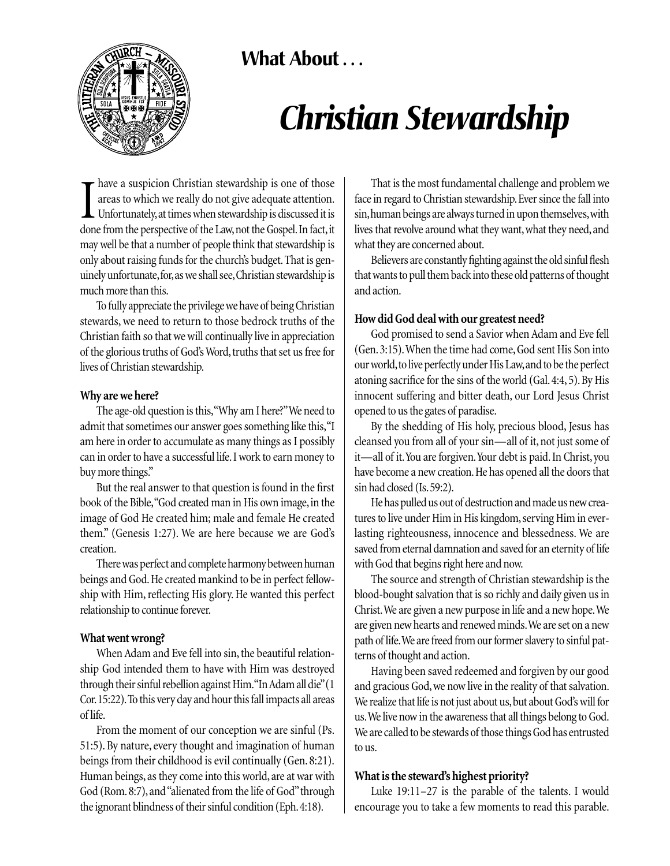# **What About . . .**



# *Christian Stewardship*

Thave a suspicion Christian stewardship is one of those areas to which we really do not give adequate attention.<br>Unfortunately, at times when stewardship is discussed it is done from the perspective of the Law, not the Gos have a suspicion Christian stewardship is one of those areas to which we really do not give adequate attention. Unfortunately,at times when stewardship is discussed it is may well be that a number of people think that stewardship is only about raising funds for the church's budget. That is genuinely unfortunate,for,as we shall see,Christian stewardship is much more than this.

To fully appreciate the privilege we have of being Christian stewards, we need to return to those bedrock truths of the Christian faith so that we will continually live in appreciation of the glorious truths of God's Word, truths that set us free for lives of Christian stewardship.

#### **Why are we here?**

The age-old question is this,"Why am I here?"We need to admit that sometimes our answer goes something like this,"I am here in order to accumulate as many things as I possibly can in order to have a successful life.I work to earn money to buy more things."

But the real answer to that question is found in the first book of the Bible, "God created man in His own image, in the image of God He created him; male and female He created them." (Genesis 1:27). We are here because we are God's creation.

There was perfect and complete harmony between human beings and God.He created mankind to be in perfect fellowship with Him, reflecting His glory. He wanted this perfect relationship to continue forever.

## **What went wrong?**

When Adam and Eve fell into sin, the beautiful relationship God intended them to have with Him was destroyed through their sinful rebellion against Him."In Adam all die"(1 Cor.15:22).To this very day and hour this fall impacts all areas of life.

From the moment of our conception we are sinful (Ps. 51:5). By nature, every thought and imagination of human beings from their childhood is evil continually (Gen. 8:21). Human beings, as they come into this world, are at war with God (Rom. 8:7), and "alienated from the life of God" through the ignorant blindness of their sinful condition (Eph.4:18).

That is the most fundamental challenge and problem we face in regard to Christian stewardship. Ever since the fall into sin, human beings are always turned in upon themselves, with lives that revolve around what they want, what they need, and what they are concerned about.

Believers are constantly fighting against the old sinful flesh that wants to pull them back into these old patterns of thought and action.

## **How did God deal with our greatest need?**

God promised to send a Savior when Adam and Eve fell (Gen. 3:15).When the time had come, God sent His Son into our world,to live perfectly under His Law,and to be the perfect atoning sacrifice for the sins of the world (Gal.4:4, 5).By His innocent suffering and bitter death, our Lord Jesus Christ opened to us the gates of paradise.

By the shedding of His holy, precious blood, Jesus has cleansed you from all of your sin—all of it, not just some of it—all of it.You are forgiven.Your debt is paid.In Christ, you have become a new creation. He has opened all the doors that sin had closed (Is.59:2).

He has pulled us out of destruction and made us new creatures to live under Him in His kingdom, serving Him in everlasting righteousness, innocence and blessedness. We are saved from eternal damnation and saved for an eternity of life with God that begins right here and now.

The source and strength of Christian stewardship is the blood-bought salvation that is so richly and daily given us in Christ.We are given a new purpose in life and a new hope.We are given new hearts and renewed minds.We are set on a new path of life.We are freed from our former slavery to sinful patterns of thought and action.

Having been saved redeemed and forgiven by our good and gracious God,we now live in the reality of that salvation. We realize that life is not just about us, but about God's will for us.We live now in the awareness that all things belong to God. We are called to be stewards of those things God has entrusted to us.

## **What is the steward's highest priority?**

Luke 19:11–27 is the parable of the talents. I would encourage you to take a few moments to read this parable.